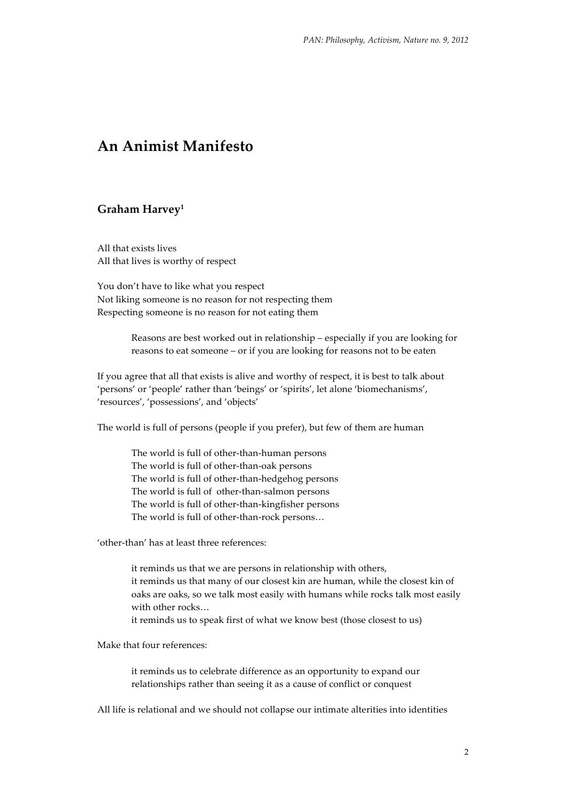## **An!Animist!Manifesto**

## Graham Harvey<sup>1</sup>

All that exists lives All that lives is worthy of respect

You don't have to like what you respect Not liking someone is no reason for not respecting them Respecting someone is no reason for not eating them

> Reasons are best worked out in relationship – especially if you are looking for reasons to eat someone – or if you are looking for reasons not to be eaten

If you agree that all that exists is alive and worthy of respect, it is best to talk about 'persons' or 'people' rather than 'beings' or 'spirits', let alone 'biomechanisms', 'resources', 'possessions', and 'objects'

The world is full of persons (people if you prefer), but few of them are human

The world is full of other-than-human persons The world is full of other-than-oak persons The world is full of other-than-hedgehog persons The world is full of other-than-salmon persons The world is full of other-than-kingfisher persons The world is full of other-than-rock persons...

'other-than' has at least three references:

it reminds us that we are persons in relationship with others, it reminds us that many of our closest kin are human, while the closest kin of oaks are oaks, so we talk most easily with humans while rocks talk most easily with other rocks... it reminds us to speak first of what we know best (those closest to us)

Make that four references:

it reminds us to celebrate difference as an opportunity to expand our relationships rather than seeing it as a cause of conflict or conquest

All life is relational and we should not collapse our intimate alterities into identities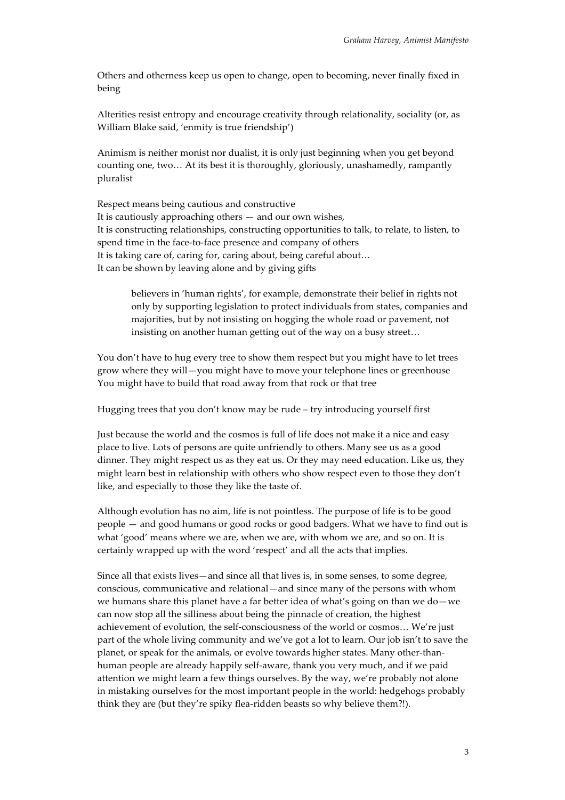Others and otherness keep us open to change, open to becoming, never finally fixed in being

Alterities resist entropy and encourage creativity through relationality, sociality (or, as William Blake said, 'enmity is true friendship')

Animism is neither monist nor dualist, it is only just beginning when you get beyond counting one, two... At its best it is thoroughly, gloriously, unashamedly, rampantly pluralist

Respect means being cautious and constructive It is cautiously approaching others  $-$  and our own wishes, It is constructing relationships, constructing opportunities to talk, to relate, to listen, to spend time in the face-to-face presence and company of others It is taking care of, caring for, caring about, being careful about... It can be shown by leaving alone and by giving gifts

believers in 'human rights', for example, demonstrate their belief in rights not only by supporting legislation to protect individuals from states, companies and majorities, but by not insisting on hogging the whole road or pavement, not insisting on another human getting out of the way on a busy street...

You don't have to hug every tree to show them respect but you might have to let trees grow where they will-you might have to move your telephone lines or greenhouse You might have to build that road away from that rock or that tree

Hugging trees that you don't know may be rude – try introducing yourself first

Just because the world and the cosmos is full of life does not make it a nice and easy place to live. Lots of persons are quite unfriendly to others. Many see us as a good dinner. They might respect us as they eat us. Or they may need education. Like us, they might learn best in relationship with others who show respect even to those they don't like, and especially to those they like the taste of.

Although evolution has no aim, life is not pointless. The purpose of life is to be good people — and good humans or good rocks or good badgers. What we have to find out is what 'good' means where we are, when we are, with whom we are, and so on. It is certainly wrapped up with the word 'respect' and all the acts that implies.

Since all that exists lives—and since all that lives is, in some senses, to some degree, conscious, communicative and relational—and since many of the persons with whom we humans share this planet have a far better idea of what's going on than we do—we can now stop all the silliness about being the pinnacle of creation, the highest achievement of evolution, the self-consciousness of the world or cosmos... We're just part of the whole living community and we've got a lot to learn. Our job isn't to save the planet, or speak for the animals, or evolve towards higher states. Many other-thanhuman people are already happily self-aware, thank you very much, and if we paid attention we might learn a few things ourselves. By the way, we're probably not alone in mistaking ourselves for the most important people in the world: hedgehogs probably think they are (but they're spiky flea-ridden beasts so why believe them?!).